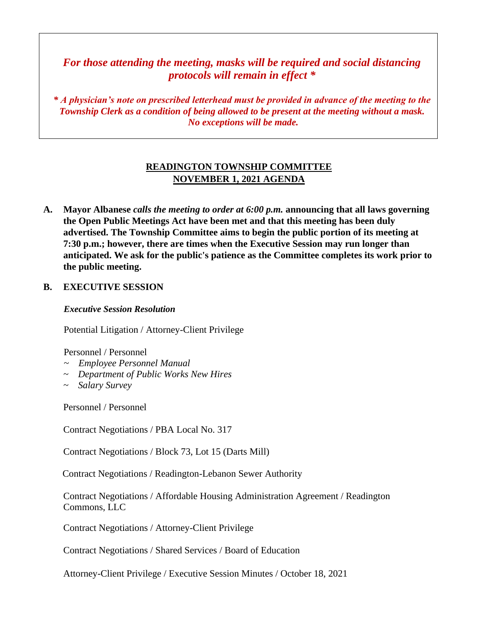*For those attending the meeting, masks will be required and social distancing protocols will remain in effect \**

*\* A physician's note on prescribed letterhead must be provided in advance of the meeting to the Township Clerk as a condition of being allowed to be present at the meeting without a mask. No exceptions will be made.*

# **READINGTON TOWNSHIP COMMITTEE NOVEMBER 1, 2021 AGENDA**

**A. Mayor Albanese** *calls the meeting to order at 6:00 p.m.* **announcing that all laws governing the Open Public Meetings Act have been met and that this meeting has been duly advertised. The Township Committee aims to begin the public portion of its meeting at 7:30 p.m.; however, there are times when the Executive Session may run longer than anticipated. We ask for the public's patience as the Committee completes its work prior to the public meeting.**

#### **B. EXECUTIVE SESSION**

*Executive Session Resolution* 

Potential Litigation / Attorney-Client Privilege

Personnel / Personnel

- *~ Employee Personnel Manual*
- *~ Department of Public Works New Hires*
- *~ Salary Survey*

Personnel / Personnel

Contract Negotiations / PBA Local No. 317

Contract Negotiations / Block 73, Lot 15 (Darts Mill)

Contract Negotiations / Readington-Lebanon Sewer Authority

Contract Negotiations / Affordable Housing Administration Agreement / Readington Commons, LLC

Contract Negotiations / Attorney-Client Privilege

Contract Negotiations / Shared Services / Board of Education

Attorney-Client Privilege / Executive Session Minutes / October 18, 2021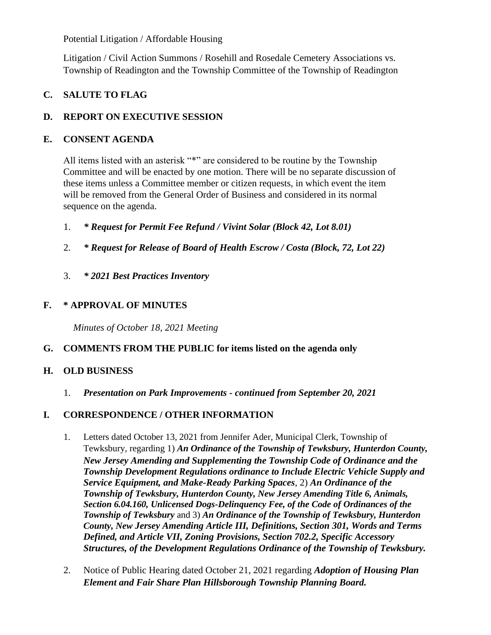Potential Litigation / Affordable Housing

Litigation / Civil Action Summons / Rosehill and Rosedale Cemetery Associations vs. Township of Readington and the Township Committee of the Township of Readington

# **C. SALUTE TO FLAG**

## **D. REPORT ON EXECUTIVE SESSION**

#### **E. CONSENT AGENDA**

All items listed with an asterisk "\*" are considered to be routine by the Township Committee and will be enacted by one motion. There will be no separate discussion of these items unless a Committee member or citizen requests, in which event the item will be removed from the General Order of Business and considered in its normal sequence on the agenda.

- 1. *\* Request for Permit Fee Refund / Vivint Solar (Block 42, Lot 8.01)*
- 2. *\* Request for Release of Board of Health Escrow / Costa (Block, 72, Lot 22)*
- 3. *\* 2021 Best Practices Inventory*

#### **F. \* APPROVAL OF MINUTES**

 *Minutes of October 18, 2021 Meeting*

## **G. COMMENTS FROM THE PUBLIC for items listed on the agenda only**

## **H. OLD BUSINESS**

1. *Presentation on Park Improvements - continued from September 20, 2021*

## **I. CORRESPONDENCE / OTHER INFORMATION**

- 1. Letters dated October 13, 2021 from Jennifer Ader, Municipal Clerk, Township of Tewksbury, regarding 1) *An Ordinance of the Township of Tewksbury, Hunterdon County, New Jersey Amending and Supplementing the Township Code of Ordinance and the Township Development Regulations ordinance to Include Electric Vehicle Supply and Service Equipment, and Make-Ready Parking Spaces*, 2) *An Ordinance of the Township of Tewksbury, Hunterdon County, New Jersey Amending Title 6, Animals, Section 6.04.160, Unlicensed Dogs-Delinquency Fee, of the Code of Ordinances of the Township of Tewksbury* and 3) *An Ordinance of the Township of Tewksbury, Hunterdon County, New Jersey Amending Article III, Definitions, Section 301, Words and Terms Defined, and Article VII, Zoning Provisions, Section 702.2, Specific Accessory Structures, of the Development Regulations Ordinance of the Township of Tewksbury.*
- 2. Notice of Public Hearing dated October 21, 2021 regarding *Adoption of Housing Plan Element and Fair Share Plan Hillsborough Township Planning Board.*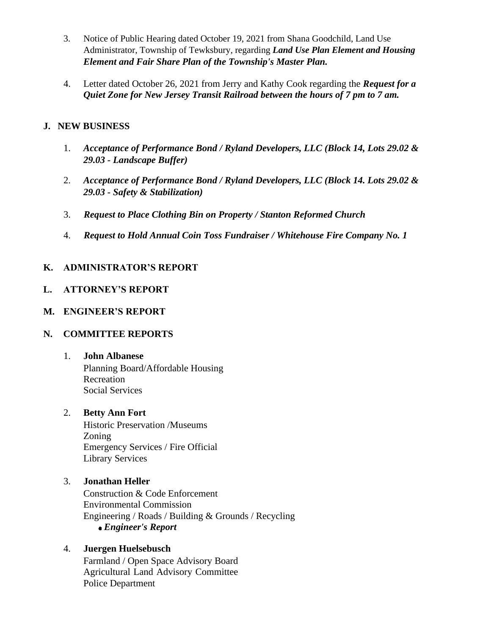- 3. Notice of Public Hearing dated October 19, 2021 from Shana Goodchild, Land Use Administrator, Township of Tewksbury, regarding *Land Use Plan Element and Housing Element and Fair Share Plan of the Township's Master Plan.*
- 4. Letter dated October 26, 2021 from Jerry and Kathy Cook regarding the *Request for a Quiet Zone for New Jersey Transit Railroad between the hours of 7 pm to 7 am.*

## **J. NEW BUSINESS**

- 1. *Acceptance of Performance Bond / Ryland Developers, LLC (Block 14, Lots 29.02 & 29.03 - Landscape Buffer)*
- 2. *Acceptance of Performance Bond / Ryland Developers, LLC (Block 14. Lots 29.02 & 29.03 - Safety & Stabilization)*
- 3. *Request to Place Clothing Bin on Property / Stanton Reformed Church*
- 4. *Request to Hold Annual Coin Toss Fundraiser / Whitehouse Fire Company No. 1*

# **K. ADMINISTRATOR'S REPORT**

## **L. ATTORNEY'S REPORT**

## **M. ENGINEER'S REPORT**

## **N. COMMITTEE REPORTS**

#### 1. **John Albanese**

Planning Board/Affordable Housing **Recreation** Social Services

## 2. **Betty Ann Fort**

Historic Preservation /Museums Zoning Emergency Services / Fire Official Library Services

#### 3. **Jonathan Heller**

Construction & Code Enforcement Environmental Commission Engineering / Roads / Building & Grounds / Recycling *Engineer's Report*

## 4. **Juergen Huelsebusch**

Farmland / Open Space Advisory Board Agricultural Land Advisory Committee Police Department